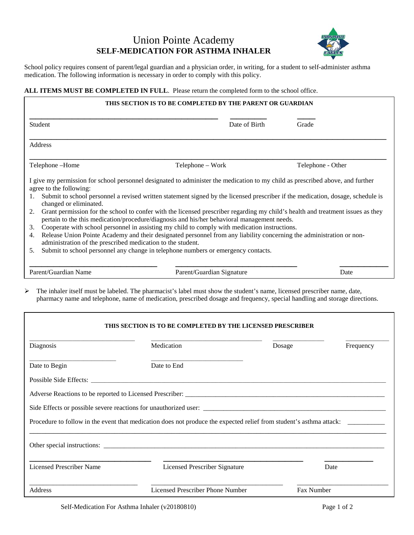## Union Pointe Academy **SELF-MEDICATION FOR ASTHMA INHALER**



School policy requires consent of parent/legal guardian and a physician order, in writing, for a student to self-administer asthma medication. The following information is necessary in order to comply with this policy.

## **ALL ITEMS MUST BE COMPLETED IN FULL**. Please return the completed form to the school office.

|                                                                                                                                                | THIS SECTION IS TO BE COMPLETED BY THE PARENT OR GUARDIAN                                                                                                                                                                                                                                                                                                                                                                                                                                                                                                                                                                                                                                                                                                                                                         |                   |
|------------------------------------------------------------------------------------------------------------------------------------------------|-------------------------------------------------------------------------------------------------------------------------------------------------------------------------------------------------------------------------------------------------------------------------------------------------------------------------------------------------------------------------------------------------------------------------------------------------------------------------------------------------------------------------------------------------------------------------------------------------------------------------------------------------------------------------------------------------------------------------------------------------------------------------------------------------------------------|-------------------|
| Student                                                                                                                                        | Date of Birth                                                                                                                                                                                                                                                                                                                                                                                                                                                                                                                                                                                                                                                                                                                                                                                                     | Grade             |
| Address                                                                                                                                        |                                                                                                                                                                                                                                                                                                                                                                                                                                                                                                                                                                                                                                                                                                                                                                                                                   |                   |
| Telephone -Home                                                                                                                                | Telephone – Work                                                                                                                                                                                                                                                                                                                                                                                                                                                                                                                                                                                                                                                                                                                                                                                                  | Telephone - Other |
| agree to the following:<br>1.<br>changed or eliminated.<br>2.<br>3.<br>4.<br>administration of the prescribed medication to the student.<br>5. | I give my permission for school personnel designated to administer the medication to my child as prescribed above, and further<br>Submit to school personnel a revised written statement signed by the licensed prescriber if the medication, dosage, schedule is<br>Grant permission for the school to confer with the licensed prescriber regarding my child's health and treatment issues as they<br>pertain to the this medication/procedure/diagnosis and his/her behavioral management needs.<br>Cooperate with school personnel in assisting my child to comply with medication instructions.<br>Release Union Pointe Academy and their designated personnel from any liability concerning the administration or non-<br>Submit to school personnel any change in telephone numbers or emergency contacts. |                   |
|                                                                                                                                                |                                                                                                                                                                                                                                                                                                                                                                                                                                                                                                                                                                                                                                                                                                                                                                                                                   |                   |

 $\triangleright$  The inhaler itself must be labeled. The pharmacist's label must show the student's name, licensed prescriber name, date, pharmacy name and telephone, name of medication, prescribed dosage and frequency, special handling and storage directions.

## **THIS SECTION IS TO BE COMPLETED BY THE LICENSED PRESCRIBER**

| Diagnosis                | Medication                                                                                                          | Dosage | Frequency  |  |
|--------------------------|---------------------------------------------------------------------------------------------------------------------|--------|------------|--|
| Date to Begin            | Date to End                                                                                                         |        |            |  |
|                          | Possible Side Effects:                                                                                              |        |            |  |
|                          |                                                                                                                     |        |            |  |
|                          |                                                                                                                     |        |            |  |
|                          | Procedure to follow in the event that medication does not produce the expected relief from student's asthma attack: |        |            |  |
|                          |                                                                                                                     |        |            |  |
| Licensed Prescriber Name | <b>Licensed Prescriber Signature</b>                                                                                |        | Date       |  |
| <b>Address</b>           | Licensed Prescriber Phone Number                                                                                    |        | Fax Number |  |